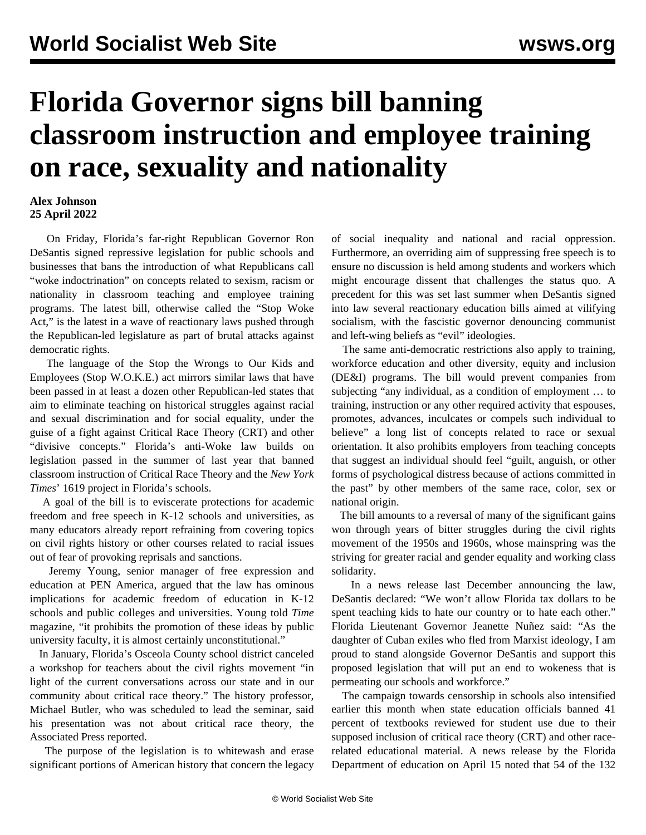## **Florida Governor signs bill banning classroom instruction and employee training on race, sexuality and nationality**

## **Alex Johnson 25 April 2022**

 On Friday, Florida's far-right Republican Governor Ron DeSantis signed repressive legislation for public schools and businesses that bans the introduction of what Republicans call "woke indoctrination" on concepts related to sexism, racism or nationality in classroom teaching and employee training programs. The latest bill, otherwise called the "Stop Woke Act," is the latest in a wave of reactionary laws pushed through the Republican-led legislature as part of brutal attacks against democratic rights.

 The language of the Stop the Wrongs to Our Kids and Employees (Stop W.O.K.E.) act mirrors similar laws that have been passed in at least a dozen other Republican-led states that aim to eliminate teaching on historical struggles against racial and sexual discrimination and for social equality, under the guise of a fight against Critical Race Theory (CRT) and other "divisive concepts." Florida's anti-Woke law builds on legislation passed in the summer of last year that banned classroom instruction of Critical Race Theory and the *New York Times*' 1619 project in Florida's schools.

 A goal of the bill is to eviscerate protections for academic freedom and free speech in K-12 schools and universities, as many educators already report refraining from covering topics on civil rights history or other courses related to racial issues out of fear of provoking reprisals and sanctions.

 Jeremy Young, senior manager of free expression and education at PEN America, argued that the law has ominous implications for academic freedom of education in K-12 schools and public colleges and universities. Young told *Time* magazine, "it prohibits the promotion of these ideas by public university faculty, it is almost certainly unconstitutional."

 In January, Florida's Osceola County school district canceled a workshop for teachers about the civil rights movement "in light of the current conversations across our state and in our community about critical race theory." The history professor, Michael Butler, who was scheduled to lead the seminar, said his presentation was not about critical race theory, the Associated Press reported.

 The purpose of the legislation is to whitewash and erase significant portions of American history that concern the legacy of social inequality and national and racial oppression. Furthermore, an overriding aim of suppressing free speech is to ensure no discussion is held among students and workers which might encourage dissent that challenges the status quo. A precedent for this was set last summer when DeSantis signed into law several reactionary education bills aimed at vilifying socialism, with the fascistic governor denouncing communist and left-wing beliefs as "evil" ideologies.

 The same anti-democratic restrictions also apply to training, workforce education and other diversity, equity and inclusion (DE&I) programs. The bill would prevent companies from subjecting "any individual, as a condition of employment … to training, instruction or any other required activity that espouses, promotes, advances, inculcates or compels such individual to believe" a long list of concepts related to race or sexual orientation. It also prohibits employers from teaching concepts that suggest an individual should feel "guilt, anguish, or other forms of psychological distress because of actions committed in the past" by other members of the same race, color, sex or national origin.

 The bill amounts to a reversal of many of the significant gains won through years of bitter struggles during the civil rights movement of the 1950s and 1960s, whose mainspring was the striving for greater racial and gender equality and working class solidarity.

 In a news release last December announcing the law, DeSantis declared: "We won't allow Florida tax dollars to be spent teaching kids to hate our country or to hate each other." Florida Lieutenant Governor Jeanette Nuñez said: "As the daughter of Cuban exiles who fled from Marxist ideology, I am proud to stand alongside Governor DeSantis and support this proposed legislation that will put an end to wokeness that is permeating our schools and workforce."

 The campaign towards censorship in schools also intensified earlier this month when state education officials banned 41 percent of textbooks reviewed for student use due to their supposed inclusion of critical race theory (CRT) and other racerelated educational material. A news release by the Florida Department of education on April 15 noted that 54 of the 132